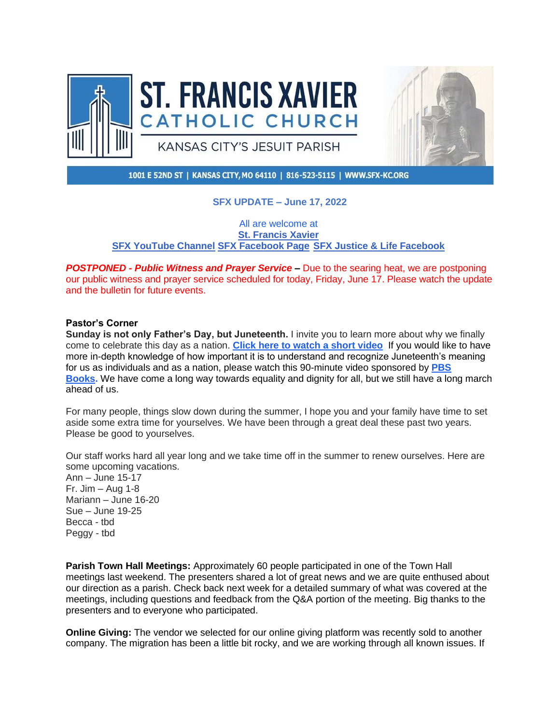



1001 E 52ND ST | KANSAS CITY, MO 64110 | 816-523-5115 | WWW.SFX-KC.ORG

# **SFX UPDATE – June 17, 2022**

All are welcome at **[St. Francis Xavier](https://r20.rs6.net/tn.jsp?f=001vC53TyorLB77KUNXzdslYghygDvkv6TM9umxr_STtBCflXflajfp6JjpyajVVrBScu3lf31i6xoa9RnZjYv0cFduuh58GLeuFFRyQGnTfnL8ixoM038g5o8H6dTXF4TzThM--CkZDsk=&c=6r6Bs1RoSzQ8Abd-HpZdi6YVq8mT243jIJC6aUx28K66_1VNVGRfBQ==&ch=XeKC8gWayusRtRZOSYMzRAiQtxfRWz7QzrsmCbXzRxUIbQxoOfhvxQ==) [SFX YouTube Channel](https://r20.rs6.net/tn.jsp?f=001vC53TyorLB77KUNXzdslYghygDvkv6TM9umxr_STtBCflXflajfp6DnL44W2hEGKf26y_DBADePNV4aCGIxkyqG1LNYHpm0xn08yR9TUuJ0g87d3mmYmNYRqRWCShuZo6oZg1n3MXb21ZAg0Dig7vKfGUQ7CVBdtZUzQKK839WKHZ4uJON7hwSVtNGB8z9Cq&c=6r6Bs1RoSzQ8Abd-HpZdi6YVq8mT243jIJC6aUx28K66_1VNVGRfBQ==&ch=XeKC8gWayusRtRZOSYMzRAiQtxfRWz7QzrsmCbXzRxUIbQxoOfhvxQ==) [SFX Facebook Page](https://r20.rs6.net/tn.jsp?f=001vC53TyorLB77KUNXzdslYghygDvkv6TM9umxr_STtBCflXflajfp6PPkT4jGHOSM6_CcjjUY6iyXa4Lr99yOO8dI_sRkU_mP2m0m0xPud7xj0sGFnoxNeUHk5GbNPnaR7qRLIWctb2su0IXYCWp-OWCdEU0WOm7f&c=6r6Bs1RoSzQ8Abd-HpZdi6YVq8mT243jIJC6aUx28K66_1VNVGRfBQ==&ch=XeKC8gWayusRtRZOSYMzRAiQtxfRWz7QzrsmCbXzRxUIbQxoOfhvxQ==) [SFX Justice & Life Facebook](https://r20.rs6.net/tn.jsp?f=001vC53TyorLB77KUNXzdslYghygDvkv6TM9umxr_STtBCflXflajfp6PPkT4jGHOSMItLEaWiWs7QDJs4-z2lk7K1RwRj5tO6OkjueCqhDS96mxlo2ZXCJpTgicbmVqMVrAOzYCDyKRlEmol6M530bxzEJg28yu5onjDs15MyV6ss=&c=6r6Bs1RoSzQ8Abd-HpZdi6YVq8mT243jIJC6aUx28K66_1VNVGRfBQ==&ch=XeKC8gWayusRtRZOSYMzRAiQtxfRWz7QzrsmCbXzRxUIbQxoOfhvxQ==)**

*POSTPONED - Public Witness and Prayer Service –* Due to the searing heat, we are postponing our public witness and prayer service scheduled for today, Friday, June 17. Please watch the update and the bulletin for future events.

### **Pastor's Corner**

**Sunday is not only Father's Day, but Juneteenth.** I invite you to learn more about why we finally come to celebrate this day as a nation. **[Click here to watch a short video](https://www.usatoday.com/videos/news/2022/06/01/juneteenths-history-and-meaning-explained-african-american-civil-war-museum-director/9797940002/)**[.](https://www.usatoday.com/videos/news/2022/06/01/juneteenths-history-and-meaning-explained-african-american-civil-war-museum-director/9797940002/) If you would like to have more in-depth knowledge of how important it is to understand and recognize Juneteenth's meaning for us as individuals and as a nation, please watch this 90-minute video sponsored by **[PBS](https://learningresources.sjrstate.edu/PBSLibraryPartner/Juneteenth-LifeEveryVoice#:~:text=On%20Thursday%2C%20June%2017%2C%20at,blkfreedom)  [Books.](https://learningresources.sjrstate.edu/PBSLibraryPartner/Juneteenth-LifeEveryVoice#:~:text=On%20Thursday%2C%20June%2017%2C%20at,blkfreedom)** We have come a long way towards equality and dignity for all, but we still have a long march ahead of us.

For many people, things slow down during the summer, I hope you and your family have time to set aside some extra time for yourselves. We have been through a great deal these past two years. Please be good to yourselves.

Our staff works hard all year long and we take time off in the summer to renew ourselves. Here are some upcoming vacations. Ann – June 15-17 Fr. Jim – Aug 1-8 Mariann – June 16-20 Sue – June 19-25 Becca - tbd Peggy - tbd

**Parish Town Hall Meetings:** Approximately 60 people participated in one of the Town Hall meetings last weekend. The presenters shared a lot of great news and we are quite enthused about our direction as a parish. Check back next week for a detailed summary of what was covered at the meetings, including questions and feedback from the Q&A portion of the meeting. Big thanks to the presenters and to everyone who participated.

**Online Giving:** The vendor we selected for our online giving platform was recently sold to another company. The migration has been a little bit rocky, and we are working through all known issues. If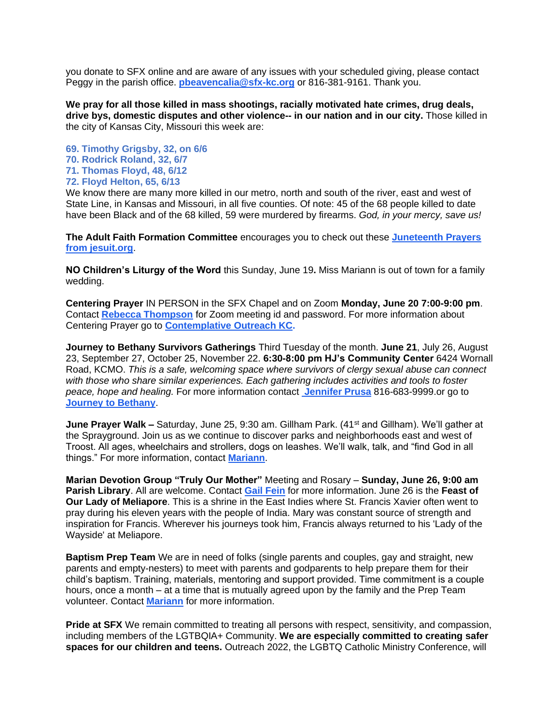you donate to SFX online and are aware of any issues with your scheduled giving, please contact Peggy in the parish office. **[pbeavencalia@sfx-kc.org](mailto:pbeavencalia@sfx-kc.org)** or 816-381-9161. Thank you.

**We pray for all those killed in mass shootings, racially motivated hate crimes, drug deals, drive bys, domestic disputes and other violence-- in our nation and in our city.** Those killed in the city of Kansas City, Missouri this week are:

**69. Timothy Grigsby, 32, on 6/6 70. Rodrick Roland, 32, 6/7 71. Thomas Floyd, 48, 6/12 72. Floyd Helton, 65, 6/13**

We know there are many more killed in our metro, north and south of the river, east and west of State Line, in Kansas and Missouri, in all five counties. Of note: 45 of the 68 people killed to date have been Black and of the 68 killed, 59 were murdered by firearms. *God, in your mercy, save us!*

**The Adult Faith Formation Committee** encourages you to check out these **[Juneteenth Prayers](https://www.xavier.edu/jesuitresource/online-resources/prayer-index/juneteenth-prayers#:~:text=Juneteenth%20Prayers%201%20In%20Celebration.%20We%20pray%2C%20O,commemorate%20the%20end%20of%20slavery%20in%20America.%20)  [from jesuit.org](https://www.xavier.edu/jesuitresource/online-resources/prayer-index/juneteenth-prayers#:~:text=Juneteenth%20Prayers%201%20In%20Celebration.%20We%20pray%2C%20O,commemorate%20the%20end%20of%20slavery%20in%20America.%20)**.

**NO Children's Liturgy of the Word** this Sunday, June 19**.** Miss Mariann is out of town for a family wedding.

**Centering Prayer** IN PERSON in the SFX Chapel and on Zoom **Monday, June 20 7:00-9:00 pm**. Contact **[Rebecca Thompson](mailto:crt98@everestkc.net)** for Zoom meeting id and password. For more information about Centering Prayer go to **[Contemplative Outreach KC.](http://contemplativeoutreachkc.org/)**

**Journey to Bethany Survivors Gatherings** Third Tuesday of the month. **June 21**, July 26, August 23, September 27, October 25, November 22. **6:30-8:00 pm HJ's Community Center** 6424 Wornall Road, KCMO. *This is a safe, welcoming space where survivors of clergy sexual abuse can connect with those who share similar experiences. Each gathering includes activities and tools to foster peace, hope and healing.* For more information contact **[Jennifer Prusa](mailto:jprusa@journeytobethany.org)** 816-683-9999.or go to **[Journey to Bethany](https://www.journeytobethany.org/survivor-gatherings/)**.

**June Prayer Walk –** Saturday, June 25, 9:30 am. Gillham Park. (41<sup>st</sup> and Gillham). We'll gather at the Sprayground. Join us as we continue to discover parks and neighborhoods east and west of Troost. All ages, wheelchairs and strollers, dogs on leashes. We'll walk, talk, and "find God in all things." For more information, contact **[Mariann](mailto:mccormally@sfx-kc.org)**.

**Marian Devotion Group "Truly Our Mother"** Meeting and Rosary – **Sunday, June 26, 9:00 am Parish Library**. All are welcome. Contact **[Gail Fein](mailto:gafein10@gmail.com)** for more information. June 26 is the **Feast of Our Lady of Meliapore**. This is a shrine in the East Indies where St. Francis Xavier often went to pray during his eleven years with the people of India. Mary was constant source of strength and inspiration for Francis. Wherever his journeys took him, Francis always returned to his 'Lady of the Wayside' at Meliapore.

**Baptism Prep Team** We are in need of folks (single parents and couples, gay and straight, new parents and empty-nesters) to meet with parents and godparents to help prepare them for their child's baptism. Training, materials, mentoring and support provided. Time commitment is a couple hours, once a month – at a time that is mutually agreed upon by the family and the Prep Team volunteer. Contact **[Mariann](mailto:mccormally@sfx-kc.org)** for more information.

**Pride at SFX** We remain committed to treating all persons with respect, sensitivity, and compassion, including members of the LGTBQIA+ Community. **We are especially committed to creating safer spaces for our children and teens.** Outreach 2022, the LGBTQ Catholic Ministry Conference, will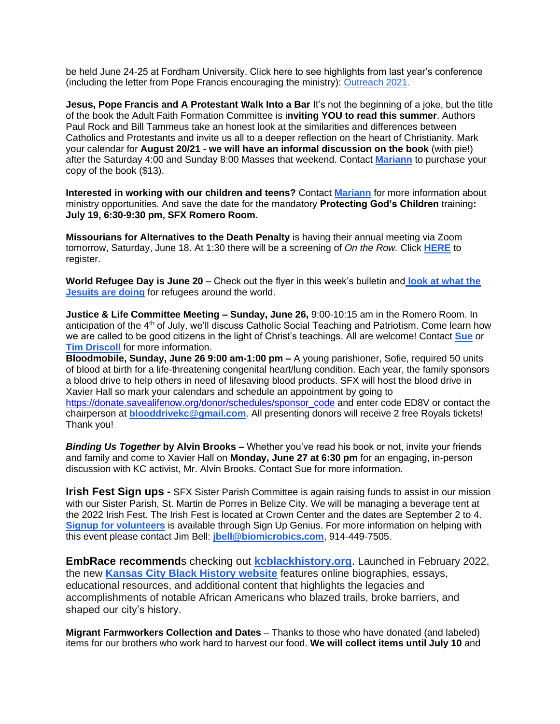be held June 24-25 at Fordham University. Click here to see highlights from last year's conference (including the letter from Pope Francis encouraging the ministry): [Outreach 2021.](https://youtu.be/o11V7ep_2KI)

**Jesus, Pope Francis and A Protestant Walk Into a Bar** It's not the beginning of a joke, but the title of the book the Adult Faith Formation Committee is i**nviting YOU to read this summer**. Authors Paul Rock and Bill Tammeus take an honest look at the similarities and differences between Catholics and Protestants and invite us all to a deeper reflection on the heart of Christianity. Mark your calendar for **August 20/21 - we will have an informal discussion on the book** (with pie!) after the Saturday 4:00 and Sunday 8:00 Masses that weekend. Contact **[Mariann](mailto:mccormally@sfx-kc.org)** to purchase your copy of the book (\$13).

**Interested in working with our children and teens?** Contact **[Mariann](mailto:mccormally@sfx-kc.org)** for more information about ministry opportunities. And save the date for the mandatory **Protecting God's Children** training**: July 19, 6:30-9:30 pm, SFX Romero Room.** 

**Missourians for Alternatives to the Death Penalty** is having their annual meeting via Zoom tomorrow, Saturday, June 18. At 1:30 there will be a screening of *On the Row.* Click **[HERE](https://www.madpmo.org/event-details-registration/madp-annual-program)** to register.

**World Refugee Day is June 20** – Check out the flyer in this week's bulletin and **[look at what the](https://jrs.net/en/campaign/world-refugee-day/)  [Jesuits are doing](https://jrs.net/en/campaign/world-refugee-day/)** for refugees around the world.

**Justice & Life Committee Meeting – Sunday, June 26,** 9:00-10:15 am in the Romero Room. In anticipation of the 4<sup>th</sup> of July, we'll discuss Catholic Social Teaching and Patriotism. Come learn how we are called to be good citizens in the light of Christ's teachings. All are welcome! Contact **[Sue](mailto:srobb@sfx-kc.org)** or **[Tim Driscoll](mailto:t.driscoll1@att.net)** for more information.

**Bloodmobile, Sunday, June 26 9:00 am-1:00 pm –** A young parishioner, Sofie, required 50 units of blood at birth for a life-threatening congenital heart/lung condition. Each year, the family sponsors a blood drive to help others in need of lifesaving blood products. SFX will host the blood drive in Xavier Hall so mark your calendars and schedule an appointment by going to [https://donate.savealifenow.org/donor/schedules/sponsor\\_code](https://donate.savealifenow.org/donor/schedules/sponsor_code) and enter code ED8V or contact the chairperson at **[blooddrivekc@gmail.com](mailto:blooddrivekc@gmail.com)**. All presenting donors will receive 2 free Royals tickets! Thank you!

*Binding Us Together* **by Alvin Brooks –** Whether you've read his book or not, invite your friends and family and come to Xavier Hall on **Monday, June 27 at 6:30 pm** for an engaging, in-person discussion with KC activist, Mr. Alvin Brooks. Contact Sue for more information.

**Irish Fest Sign ups -** SFX Sister Parish Committee is again raising funds to assist in our mission with our Sister Parish, St. Martin de Porres in Belize City. We will be managing a beverage tent at the 2022 Irish Fest. The Irish Fest is located at Crown Center and the dates are September 2 to 4. **[Signup for volunteers](https://www.signupgenius.com/go/9040A4CA5AF2EA6FF2-irish)** is available through Sign Up Genius. For more information on helping with this event please contact Jim Bell: **[jbell@biomicrobics.com](mailto:jbell@biomicrobics.com)**, 914-449-7505.

**EmbRace recommend**s checking out **[kcblackhistory.org](http://kcblackhistory.org/)**. Launched in February 2022, the new **[Kansas City Black History website](https://kcblackhistory.org/)** features online biographies, essays, educational resources, and additional content that highlights the legacies and accomplishments of notable African Americans who blazed trails, broke barriers, and shaped our city's history.

**Migrant Farmworkers Collection and Dates** – Thanks to those who have donated (and labeled) items for our brothers who work hard to harvest our food. **We will collect items until July 10** and